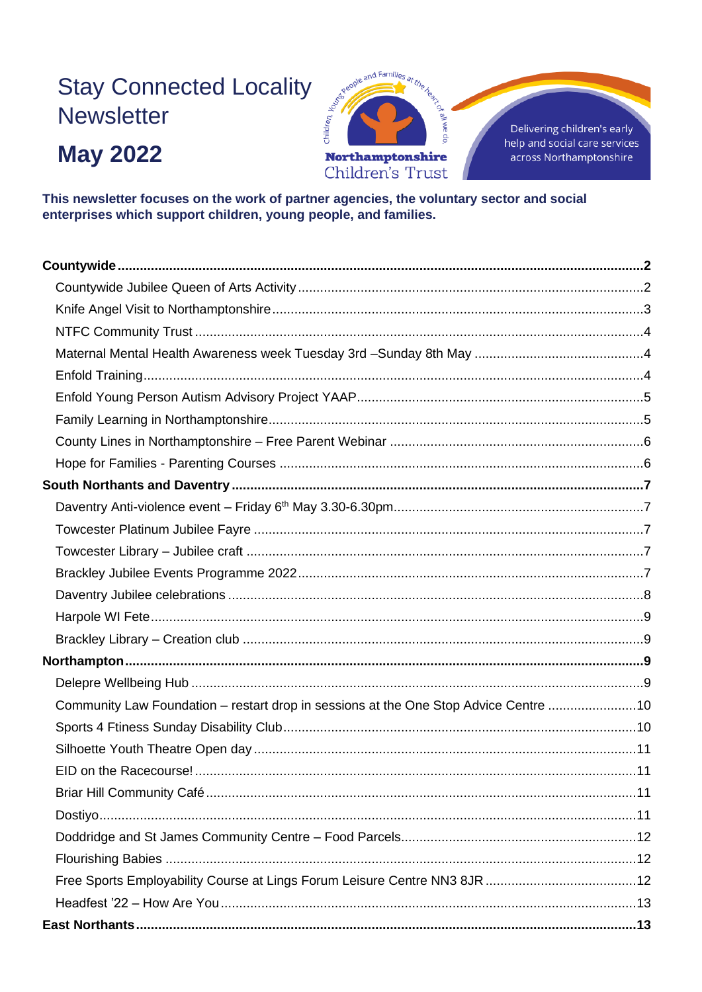# **Stay Connected Locality Newsletter**

# **May 2022**



This newsletter focuses on the work of partner agencies, the voluntary sector and social enterprises which support children, young people, and families.

| Community Law Foundation - restart drop in sessions at the One Stop Advice Centre 10 |  |
|--------------------------------------------------------------------------------------|--|
|                                                                                      |  |
|                                                                                      |  |
|                                                                                      |  |
|                                                                                      |  |
|                                                                                      |  |
|                                                                                      |  |
|                                                                                      |  |
|                                                                                      |  |
|                                                                                      |  |
|                                                                                      |  |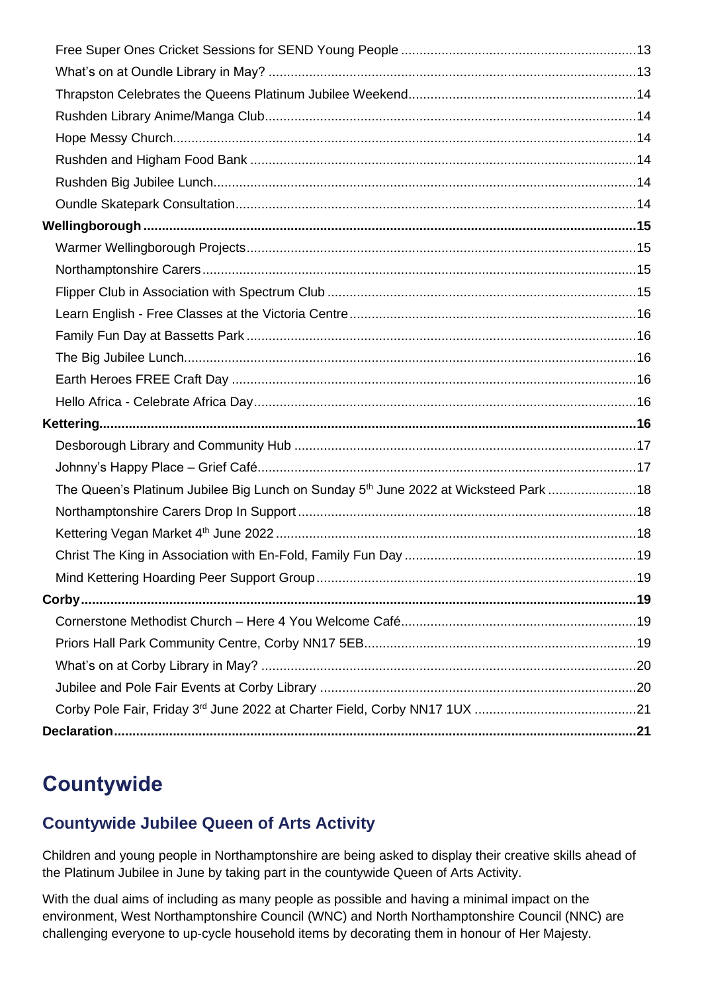| The Queen's Platinum Jubilee Big Lunch on Sunday 5 <sup>th</sup> June 2022 at Wicksteed Park 18 |  |
|-------------------------------------------------------------------------------------------------|--|
|                                                                                                 |  |
|                                                                                                 |  |
|                                                                                                 |  |
|                                                                                                 |  |
|                                                                                                 |  |
|                                                                                                 |  |
|                                                                                                 |  |
|                                                                                                 |  |
|                                                                                                 |  |
|                                                                                                 |  |
|                                                                                                 |  |

# <span id="page-1-0"></span>**Countywide**

## <span id="page-1-1"></span>**Countywide Jubilee Queen of Arts Activity**

Children and young people in Northamptonshire are being asked to display their creative skills ahead of the Platinum Jubilee in June by taking part in the countywide Queen of Arts Activity.

With the dual aims of including as many people as possible and having a minimal impact on the environment, West Northamptonshire Council (WNC) and North Northamptonshire Council (NNC) are challenging everyone to up-cycle household items by decorating them in honour of Her Majesty.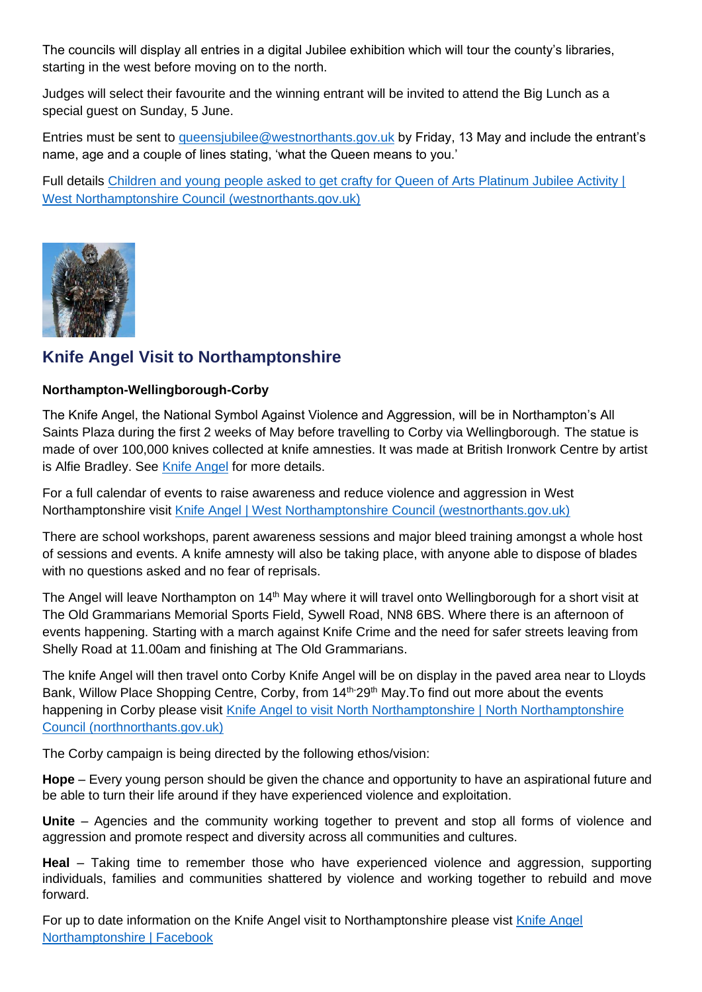The councils will display all entries in a digital Jubilee exhibition which will tour the county's libraries, starting in the west before moving on to the north.

Judges will select their favourite and the winning entrant will be invited to attend the Big Lunch as a special guest on Sunday, 5 June.

Entries must be sent to [queensjubilee@westnorthants.gov.uk](mailto:queensjubilee@westnorthants.gov.uk) by Friday, 13 May and include the entrant's name, age and a couple of lines stating, 'what the Queen means to you.'

Full details [Children and young people asked to get crafty for Queen of Arts Platinum Jubilee Activity |](https://www.westnorthants.gov.uk/news/children-and-young-people-asked-get-crafty-queen-arts-platinum-jubilee-activity)  [West Northamptonshire Council \(westnorthants.gov.uk\)](https://www.westnorthants.gov.uk/news/children-and-young-people-asked-get-crafty-queen-arts-platinum-jubilee-activity)



#### <span id="page-2-0"></span>**Knife Angel Visit to Northamptonshire**

#### **Northampton-Wellingborough-Corby**

The Knife Angel, the National Symbol Against Violence and Aggression, will be in Northampton's All Saints Plaza during the first 2 weeks of May before travelling to Corby via Wellingborough. The statue is made of over 100,000 knives collected at knife amnesties. It was made at British Ironwork Centre by artist is Alfie Bradley. See [Knife Angel](https://www.britishironworkcentre.co.uk/show-areas/the-knife-angel-official) for more details.

For a full calendar of events to raise awareness and reduce violence and aggression in West Northamptonshire visit [Knife Angel | West Northamptonshire Council \(westnorthants.gov.uk\)](https://www.westnorthants.gov.uk/community-safety-and-emergencies/knife-angel)

There are school workshops, parent awareness sessions and major bleed training amongst a whole host of sessions and events. A knife amnesty will also be taking place, with anyone able to dispose of blades with no questions asked and no fear of reprisals.

The Angel will leave Northampton on 14<sup>th</sup> May where it will travel onto Wellingborough for a short visit at The Old Grammarians Memorial Sports Field, Sywell Road, NN8 6BS. Where there is an afternoon of events happening. Starting with a march against Knife Crime and the need for safer streets leaving from Shelly Road at 11.00am and finishing at The Old Grammarians.

The knife Angel will then travel onto Corby Knife Angel will be on display in the paved area near to Lloyds Bank, Willow Place Shopping Centre, Corby, from 14<sup>th-</sup>29<sup>th</sup> May. To find out more about the events happening in Corby please visit [Knife Angel to visit North Northamptonshire | North Northamptonshire](https://www.northnorthants.gov.uk/news/knife-angel-visit-north-northamptonshire)  [Council \(northnorthants.gov.uk\)](https://www.northnorthants.gov.uk/news/knife-angel-visit-north-northamptonshire)

The Corby campaign is being directed by the following ethos/vision:

**Hope** – Every young person should be given the chance and opportunity to have an aspirational future and be able to turn their life around if they have experienced violence and exploitation.

**Unite** – Agencies and the community working together to prevent and stop all forms of violence and aggression and promote respect and diversity across all communities and cultures.

**Heal** – Taking time to remember those who have experienced violence and aggression, supporting individuals, families and communities shattered by violence and working together to rebuild and move forward.

For up to date information on the [Knife Angel](https://www.facebook.com/knifeangelnorthampton/) visit to Northamptonshire please vist Knife Angel [Northamptonshire | Facebook](https://www.facebook.com/knifeangelnorthampton/)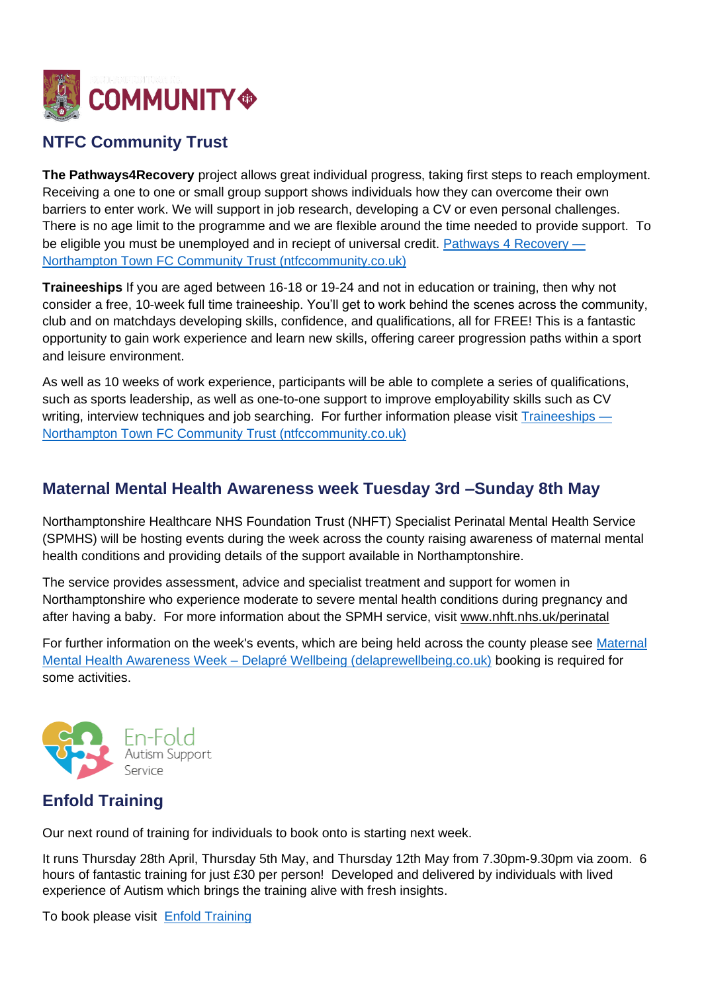

## <span id="page-3-0"></span>**NTFC Community Trust**

**The Pathways4Recovery** project allows great individual progress, taking first steps to reach employment. Receiving a one to one or small group support shows individuals how they can overcome their own barriers to enter work. We will support in job research, developing a CV or even personal challenges. There is no age limit to the programme and we are flexible around the time needed to provide support. To be eligible you must be unemployed and in reciept of universal credit. [Pathways 4 Recovery —](https://www.ntfccommunity.co.uk/pathways4recovery) [Northampton Town FC Community Trust \(ntfccommunity.co.uk\)](https://www.ntfccommunity.co.uk/pathways4recovery)

**Traineeships** If you are aged between 16-18 or 19-24 and not in education or training, then why not consider a free, 10-week full time traineeship. You'll get to work behind the scenes across the community, club and on matchdays developing skills, confidence, and qualifications, all for FREE! This is a fantastic opportunity to gain work experience and learn new skills, offering career progression paths within a sport and leisure environment.

As well as 10 weeks of work experience, participants will be able to complete a series of qualifications, such as sports leadership, as well as one-to-one support to improve employability skills such as CV writing, interview techniques and job searching. For further information please visit [Traineeships —](https://www.ntfccommunity.co.uk/traineeships) [Northampton Town FC Community Trust \(ntfccommunity.co.uk\)](https://www.ntfccommunity.co.uk/traineeships)

#### <span id="page-3-1"></span>**Maternal Mental Health Awareness week Tuesday 3rd –Sunday 8th May**

Northamptonshire Healthcare NHS Foundation Trust (NHFT) Specialist Perinatal Mental Health Service (SPMHS) will be hosting events during the week across the county raising awareness of maternal mental health conditions and providing details of the support available in Northamptonshire.

The service provides assessment, advice and specialist treatment and support for women in Northamptonshire who experience moderate to severe mental health conditions during pregnancy and after having a baby. For more information about the SPMH service, visit [www.nhft.nhs.uk/perinatal](https://www.nhft.nhs.uk/perinatal)

For further information on the week's events, which are being held across the county please see [Maternal](https://delaprewellbeing.co.uk/?page_id=902)  Mental Health Awareness Week – [Delapré Wellbeing \(delaprewellbeing.co.uk\)](https://delaprewellbeing.co.uk/?page_id=902) booking is required for some activities.



## <span id="page-3-2"></span>**Enfold Training**

Our next round of training for individuals to book onto is starting next week.

It runs Thursday 28th April, Thursday 5th May, and Thursday 12th May from 7.30pm-9.30pm via zoom. 6 hours of fantastic training for just £30 per person! Developed and delivered by individuals with lived experience of Autism which brings the training alive with fresh insights.

To book please visit [Enfold Training](https://www.eventbrite.co.uk/manage/events/294587277477/tickets)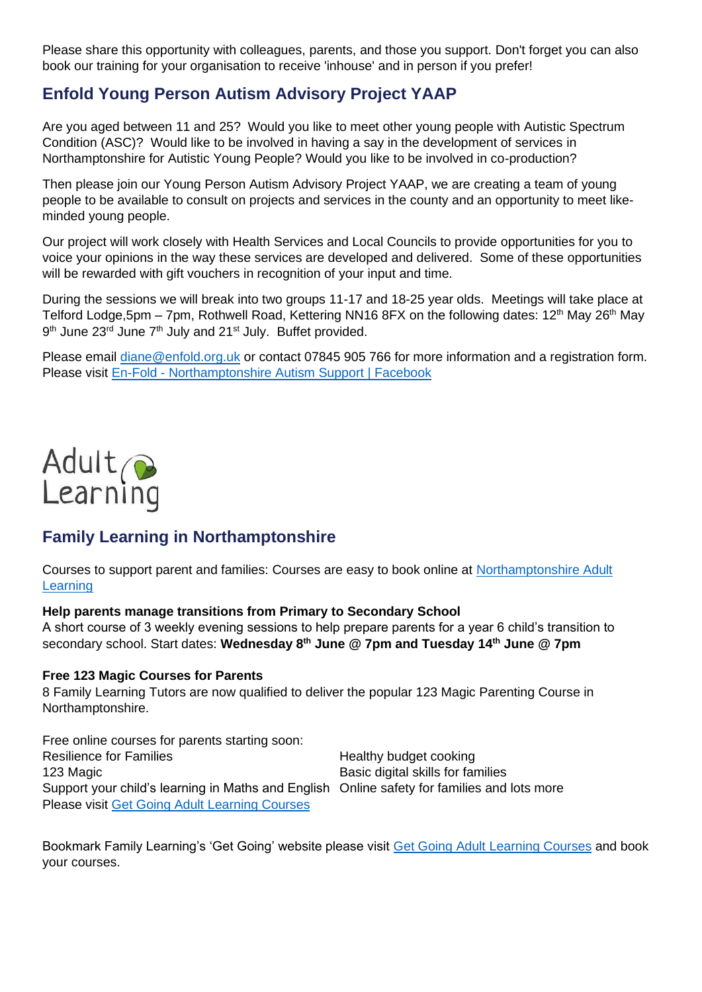Please share this opportunity with colleagues, parents, and those you support. Don't forget you can also book our training for your organisation to receive 'inhouse' and in person if you prefer!

### <span id="page-4-0"></span>**Enfold Young Person Autism Advisory Project YAAP**

Are you aged between 11 and 25? Would you like to meet other young people with Autistic Spectrum Condition (ASC)? Would like to be involved in having a say in the development of services in Northamptonshire for Autistic Young People? Would you like to be involved in co-production?

Then please join our Young Person Autism Advisory Project YAAP, we are creating a team of young people to be available to consult on projects and services in the county and an opportunity to meet likeminded young people.

Our project will work closely with Health Services and Local Councils to provide opportunities for you to voice your opinions in the way these services are developed and delivered. Some of these opportunities will be rewarded with gift vouchers in recognition of your input and time.

During the sessions we will break into two groups 11-17 and 18-25 year olds. Meetings will take place at Telford Lodge,5pm – 7pm, Rothwell Road, Kettering NN16 8FX on the following dates: 12<sup>th</sup> May 26<sup>th</sup> May 9<sup>th</sup> June 23<sup>rd</sup> June 7<sup>th</sup> July and 21<sup>st</sup> July. Buffet provided.

Please email [diane@enfold.org.uk](mailto:diane@enfold.org.uk) or contact 07845 905 766 for more information and a registration form. Please visit En-Fold - [Northamptonshire Autism Support | Facebook](https://www.facebook.com/Enfoldnorthamptonshireautismsupport/)



### <span id="page-4-1"></span>**Family Learning in Northamptonshire**

Courses to support parent and families: Courses are easy to book online at [Northamptonshire Adult](http://www.northamptonshire.gov.uk/adultlearning)  **[Learning](http://www.northamptonshire.gov.uk/adultlearning)** 

#### **Help parents manage transitions from Primary to Secondary School**

A short course of 3 weekly evening sessions to help prepare parents for a year 6 child's transition to secondary school. Start dates: **Wednesday 8th June @ 7pm and Tuesday 14th June @ 7pm**

#### **Free 123 Magic Courses for Parents**

8 Family Learning Tutors are now qualified to deliver the popular 123 Magic Parenting Course in Northamptonshire.

Free online courses for parents starting soon: Resilience for Families **Resilience** for Families **Healthy** budget cooking 123 Magic Basic digital skills for families Support your child's learning in Maths and English Online safety for families and lots more Please visit [Get Going Adult Learning Courses](https://getgoing.nccadultlearning.ac.uk/more-courses)

Bookmark Family Learning's 'Get Going' website please visit [Get Going Adult Learning Courses](https://getgoing.nccadultlearning.ac.uk/more-courses) and book your courses.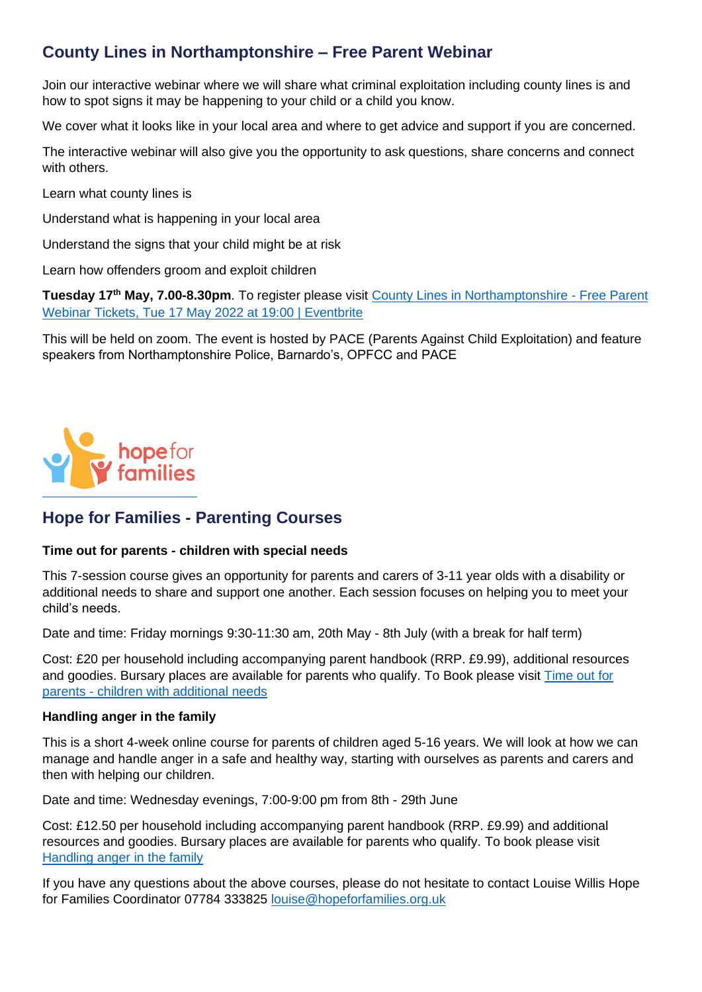### <span id="page-5-0"></span>**County Lines in Northamptonshire – Free Parent Webinar**

Join our interactive webinar where we will share what criminal exploitation including county lines is and how to spot signs it may be happening to your child or a child you know.

We cover what it looks like in your local area and where to get advice and support if you are concerned.

The interactive webinar will also give you the opportunity to ask questions, share concerns and connect with others.

Learn what county lines is

Understand what is happening in your local area

Understand the signs that your child might be at risk

Learn how offenders groom and exploit children

**Tuesday 17th May, 7.00-8.30pm**. To register please visit [County Lines in Northamptonshire -](https://www.eventbrite.com/e/county-lines-in-northamptonshire-free-parent-webinar-tickets-323095275667) Free Parent [Webinar Tickets, Tue 17 May 2022 at 19:00 | Eventbrite](https://www.eventbrite.com/e/county-lines-in-northamptonshire-free-parent-webinar-tickets-323095275667)

This will be held on zoom. The event is hosted by PACE (Parents Against Child Exploitation) and feature speakers from Northamptonshire Police, Barnardo's, OPFCC and PACE



#### <span id="page-5-1"></span>**Hope for Families - Parenting Courses**

#### **Time out for parents - children with special needs**

This 7-session course gives an opportunity for parents and carers of 3-11 year olds with a disability or additional needs to share and support one another. Each session focuses on helping you to meet your child's needs.

Date and time: Friday mornings 9:30-11:30 am, 20th May - 8th July (with a break for half term)

Cost: £20 per household including accompanying parent handbook (RRP. £9.99), additional resources and goodies. Bursary places are available for parents who qualify. To Book please visit Time out for parents - [children with additional needs](https://www.eventbrite.co.uk/e/305558261987)

#### **Handling anger in the family**

This is a short 4-week online course for parents of children aged 5-16 years. We will look at how we can manage and handle anger in a safe and healthy way, starting with ourselves as parents and carers and then with helping our children.

Date and time: Wednesday evenings, 7:00-9:00 pm from 8th - 29th June

Cost: £12.50 per household including accompanying parent handbook (RRP. £9.99) and additional resources and goodies. Bursary places are available for parents who qualify. To book please visit [Handling anger in the family](https://www.eventbrite.co.uk/e/332590415887)

If you have any questions about the above courses, please do not hesitate to contact Louise Willis Hope for Families Coordinator 07784 333825 [louise@hopeforfamilies.org.uk](mailto:louise@hopeforfamilies.org.uk)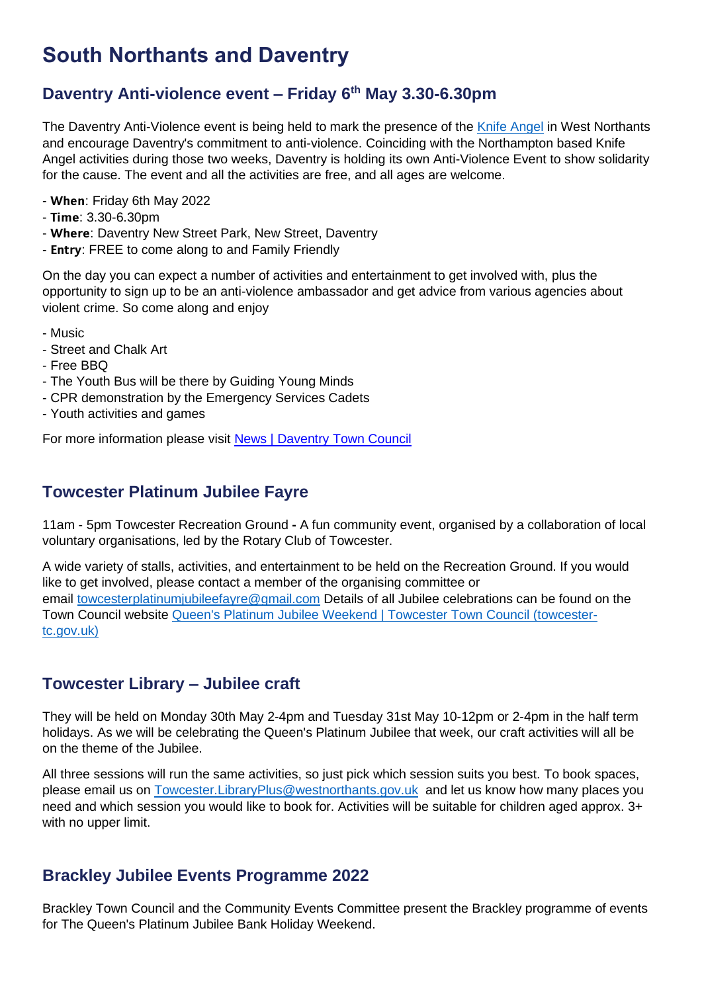## <span id="page-6-0"></span>**South Northants and Daventry**

## <span id="page-6-1"></span>**Daventry Anti-violence event – Friday 6th May 3.30-6.30pm**

The Daventry Anti-Violence event is being held to mark the presence of the [Knife Angel](https://www.westnorthants.gov.uk/community-safety-and-emergencies/knife-angel) in West Northants and encourage Daventry's commitment to anti-violence. Coinciding with the Northampton based Knife Angel activities during those two weeks, Daventry is holding its own Anti-Violence Event to show solidarity for the cause. The event and all the activities are free, and all ages are welcome.

- When: Friday 6th May 2022
- $-$  Time: 3.30-6.30pm
- Where: Daventry New Street Park, New Street, Daventry
- Entry: FREE to come along to and Family Friendly

On the day you can expect a number of activities and entertainment to get involved with, plus the opportunity to sign up to be an anti-violence ambassador and get advice from various agencies about violent crime. So come along and enjoy

- Music
- Street and Chalk Art
- Free BBQ
- The Youth Bus will be there by Guiding Young Minds
- CPR demonstration by the Emergency Services Cadets
- Youth activities and games

For more information please visit [News | Daventry Town Council](https://www.daventrytowncouncil.gov.uk/news/2022/04/daventrys-anti-violence-event-2022?fbclid=IwAR2vR-W8809hFMQmVWLY6Fn0MicopNtIkIfhYrhg5qFPDPfHA0HEF8rciFM)

#### <span id="page-6-2"></span>**Towcester Platinum Jubilee Fayre**

11am - 5pm Towcester Recreation Ground **-** A fun community event, organised by a collaboration of local voluntary organisations, led by the Rotary Club of Towcester.

A wide variety of stalls, activities, and entertainment to be held on the Recreation Ground. If you would like to get involved, please contact a member of the organising committee or email [towcesterplatinumjubileefayre@gmail.com](mailto:towcesterplatinumjubileefayre@gmail.com,enquiries@towcester-tc.gov.uk) Details of all Jubilee celebrations can be found on the Town Council website [Queen's Platinum Jubilee Weekend | Towcester Town Council \(towcester](https://www.towcester-tc.gov.uk/platinum-jubilee.html)[tc.gov.uk\)](https://www.towcester-tc.gov.uk/platinum-jubilee.html)

#### <span id="page-6-3"></span>**Towcester Library – Jubilee craft**

They will be held on Monday 30th May 2-4pm and Tuesday 31st May 10-12pm or 2-4pm in the half term holidays. As we will be celebrating the Queen's Platinum Jubilee that week, our craft activities will all be on the theme of the Jubilee.

All three sessions will run the same activities, so just pick which session suits you best. To book spaces, please email us on [Towcester.LibraryPlus@westnorthants.gov.uk](mailto:Towcester.LibraryPlus@westnorthants.gov.uk) and let us know how many places you need and which session you would like to book for. Activities will be suitable for children aged approx. 3+ with no upper limit.

#### <span id="page-6-4"></span>**Brackley Jubilee Events Programme 2022**

Brackley Town Council and the Community Events Committee present the Brackley programme of events for The Queen's Platinum Jubilee Bank Holiday Weekend.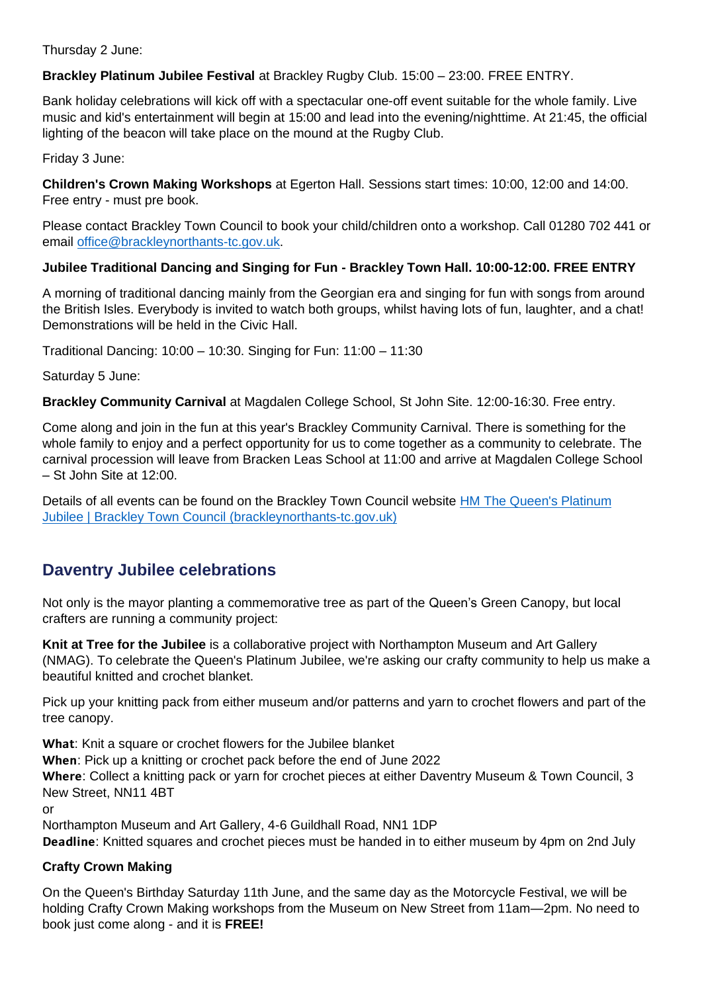Thursday 2 June:

**Brackley Platinum Jubilee Festival** at Brackley Rugby Club. 15:00 – 23:00. FREE ENTRY.

Bank holiday celebrations will kick off with a spectacular one-off event suitable for the whole family. Live music and kid's entertainment will begin at 15:00 and lead into the evening/nighttime. At 21:45, the official lighting of the beacon will take place on the mound at the Rugby Club.

Friday 3 June:

**Children's Crown Making Workshops** at Egerton Hall. Sessions start times: 10:00, 12:00 and 14:00. Free entry - must pre book.

Please contact Brackley Town Council to book your child/children onto a workshop. Call 01280 702 441 or email [office@brackleynorthants-tc.gov.uk.](mailto:office@brackleynorthants-tc.gov.uk)

#### **Jubilee Traditional Dancing and Singing for Fun - Brackley Town Hall. 10:00-12:00. FREE ENTRY**

A morning of traditional dancing mainly from the Georgian era and singing for fun with songs from around the British Isles. Everybody is invited to watch both groups, whilst having lots of fun, laughter, and a chat! Demonstrations will be held in the Civic Hall.

Traditional Dancing: 10:00 – 10:30. Singing for Fun: 11:00 – 11:30

Saturday 5 June:

**Brackley Community Carnival** at Magdalen College School, St John Site. 12:00-16:30. Free entry.

Come along and join in the fun at this year's Brackley Community Carnival. There is something for the whole family to enjoy and a perfect opportunity for us to come together as a community to celebrate. The carnival procession will leave from Bracken Leas School at 11:00 and arrive at Magdalen College School – St John Site at 12:00.

Details of all events can be found on the Brackley Town Council website [HM The Queen's Platinum](https://www.brackleynorthants-tc.gov.uk/platinumjubilee.html)  [Jubilee | Brackley Town Council \(brackleynorthants-tc.gov.uk\)](https://www.brackleynorthants-tc.gov.uk/platinumjubilee.html)

### <span id="page-7-0"></span>**Daventry Jubilee celebrations**

Not only is the mayor planting a commemorative tree as part of the Queen's Green Canopy, but local crafters are running a community project:

**Knit at Tree for the Jubilee** is a collaborative project with Northampton Museum and Art Gallery (NMAG). To celebrate the Queen's Platinum Jubilee, we're asking our crafty community to help us make a beautiful knitted and crochet blanket.

Pick up your knitting pack from either museum and/or patterns and yarn to crochet flowers and part of the tree canopy.

What: Knit a square or crochet flowers for the Jubilee blanket

: Pick up a knitting or crochet pack before the end of June 2022

Where: Collect a knitting pack or yarn for crochet pieces at either Daventry Museum & Town Council, 3 New Street, NN11 4BT

or

Northampton Museum and Art Gallery, 4-6 Guildhall Road, NN1 1DP

Deadline: Knitted squares and crochet pieces must be handed in to either museum by 4pm on 2nd July

#### **Crafty Crown Making**

On the Queen's Birthday Saturday 11th June, and the same day as the Motorcycle Festival, we will be holding Crafty Crown Making workshops from the Museum on New Street from 11am—2pm. No need to book just come along - and it is **FREE!**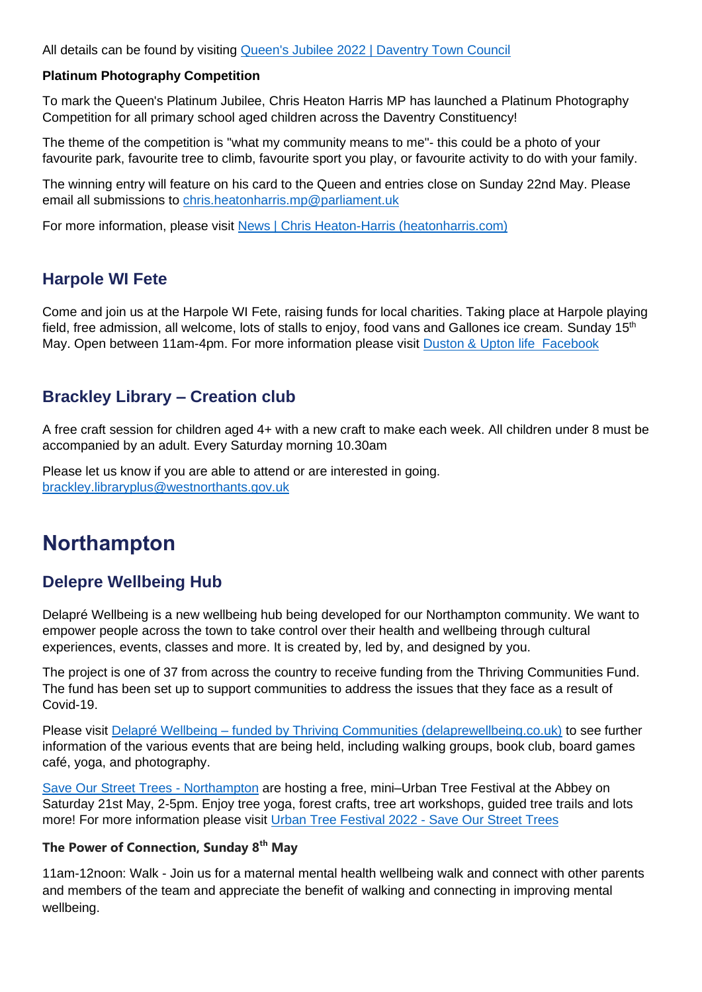All details can be found by visiting [Queen's Jubilee 2022 | Daventry Town Council](https://www.daventrytowncouncil.gov.uk/queens-jubilee-2022.html)

#### **Platinum Photography Competition**

To mark the Queen's Platinum Jubilee, Chris Heaton Harris MP has launched a Platinum Photography Competition for all primary school aged children across the Daventry Constituency!

The theme of the competition is "what my community means to me"- this could be a photo of your favourite park, favourite tree to climb, favourite sport you play, or favourite activity to do with your family.

The winning entry will feature on his card to the Queen and entries close on Sunday 22nd May. Please email all submissions to [chris.heatonharris.mp@parliament.uk](mailto:chris.heatonharris.mp@parliament.uk)

For more information, please visit [News | Chris Heaton-Harris \(heatonharris.com\)](https://www.heatonharris.com/news)

#### <span id="page-8-0"></span>**Harpole WI Fete**

Come and join us at the Harpole WI Fete, raising funds for local charities. Taking place at Harpole playing field, free admission, all welcome, lots of stalls to enjoy, food vans and Gallones ice cream. Sunday 15<sup>th</sup> May. Open between 11am-4pm. For more information please visit Duston & Upton life [Facebook](https://www.facebook.com/search/top?q=duston%20%26%20upton%20life)

#### <span id="page-8-1"></span>**Brackley Library – Creation club**

A free craft session for children aged 4+ with a new craft to make each week. All children under 8 must be accompanied by an adult. Every Saturday morning 10.30am

Please let us know if you are able to attend or are interested in going. [brackley.libraryplus@westnorthants.gov.uk](mailto:brackley.libraryplus@westnorthants.gov.uk)

## <span id="page-8-2"></span>**Northampton**

#### <span id="page-8-3"></span>**Delepre Wellbeing Hub**

Delapré Wellbeing is a new wellbeing hub being developed for our Northampton community. We want to empower people across the town to take control over their health and wellbeing through cultural experiences, events, classes and more. It is created by, led by, and designed by you.

The project is one of 37 from across the country to receive funding from the Thriving Communities Fund. The fund has been set up to support communities to address the issues that they face as a result of Covid-19.

Please visit Delapré Wellbeing – [funded by Thriving Communities \(delaprewellbeing.co.uk\)](https://delaprewellbeing.co.uk/) to see further information of the various events that are being held, including walking groups, book club, board games café, yoga, and photography.

[Save Our Street Trees -](https://www.facebook.com/saveourstreettrees/?__cft__%5b0%5d=AZUk4TM3MFpOxq4OoFLqOV-UB8PqbPTo69rA376WPC6jU_sy1FtBn7dQj-sxj38gUHZLskeKju77GNmTamcjMGZ8tlOkc8dDKOsxLVdbDlMdMF88SK3E1YvniLpfh7ygNa_sK9vS7VozvAJ4ZFLjaDyp05V8lf_6g5PjMfTNyWYUAg316eSYaeMMM_xQnw2-05g&__tn__=kK-R) Northampton are hosting a free, mini–Urban Tree Festival at the Abbey on Saturday 21st May, 2-5pm. Enjoy tree yoga, forest crafts, tree art workshops, guided tree trails and lots more! For more information please visit [Urban Tree Festival 2022 -](https://saveourstreettrees.org/utfnorthampton/?fbclid=IwAR3L7AoRmDhhH-4RaKxpovCZGQqP4iYbIFQYYZJtb9j26zgn0POsveWgIIw) Save Our Street Trees

#### **The Power of Connection, Sunday 8th May**

11am-12noon: Walk - Join us for a maternal mental health wellbeing walk and connect with other parents and members of the team and appreciate the benefit of walking and connecting in improving mental wellbeing.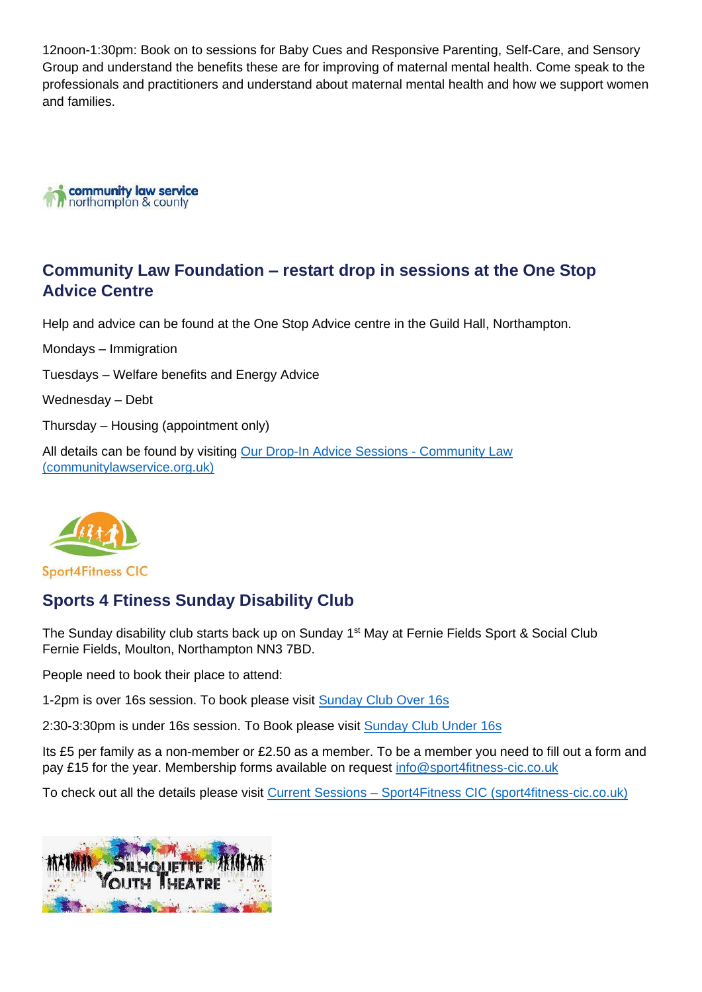12noon-1:30pm: Book on to sessions for Baby Cues and Responsive Parenting, Self-Care, and Sensory Group and understand the benefits these are for improving of maternal mental health. Come speak to the professionals and practitioners and understand about maternal mental health and how we support women and families.



#### <span id="page-9-0"></span>**Community Law Foundation – restart drop in sessions at the One Stop Advice Centre**

Help and advice can be found at the One Stop Advice centre in the Guild Hall, Northampton.

Mondays – Immigration Tuesdays – Welfare benefits and Energy Advice Wednesday – Debt Thursday – Housing (appointment only) All details can be found by visiting [Our Drop-In Advice Sessions -](https://www.communitylawservice.org.uk/drop-in-sessions/) Community Law [\(communitylawservice.org.uk\)](https://www.communitylawservice.org.uk/drop-in-sessions/)



**Sport4Fitness CIC** 

#### <span id="page-9-1"></span>**Sports 4 Ftiness Sunday Disability Club**

The Sunday disability club starts back up on Sunday 1<sup>st</sup> May at Fernie Fields Sport & Social Club Fernie Fields, Moulton, Northampton NN3 7BD.

People need to book their place to attend:

1-2pm is over 16s session. To book please visit [Sunday Club Over 16s](https://www.jumblebee.co.uk/SundayClubOver16s)

2:30-3:30pm is under 16s session. To Book please visit [Sunday Club Under 16s](https://www.jumblebee.co.uk/SundayClubUnder16s)

Its £5 per family as a non-member or £2.50 as a member. To be a member you need to fill out a form and pay £15 for the year. Membership forms available on request [info@sport4fitness-cic.co.uk](mailto:info@sport4fitness-cic.co.uk)

To check out all the details please visit Current Sessions – [Sport4Fitness CIC \(sport4fitness-cic.co.uk\)](https://sport4fitness-cic.co.uk/sessions/current-sessions/)

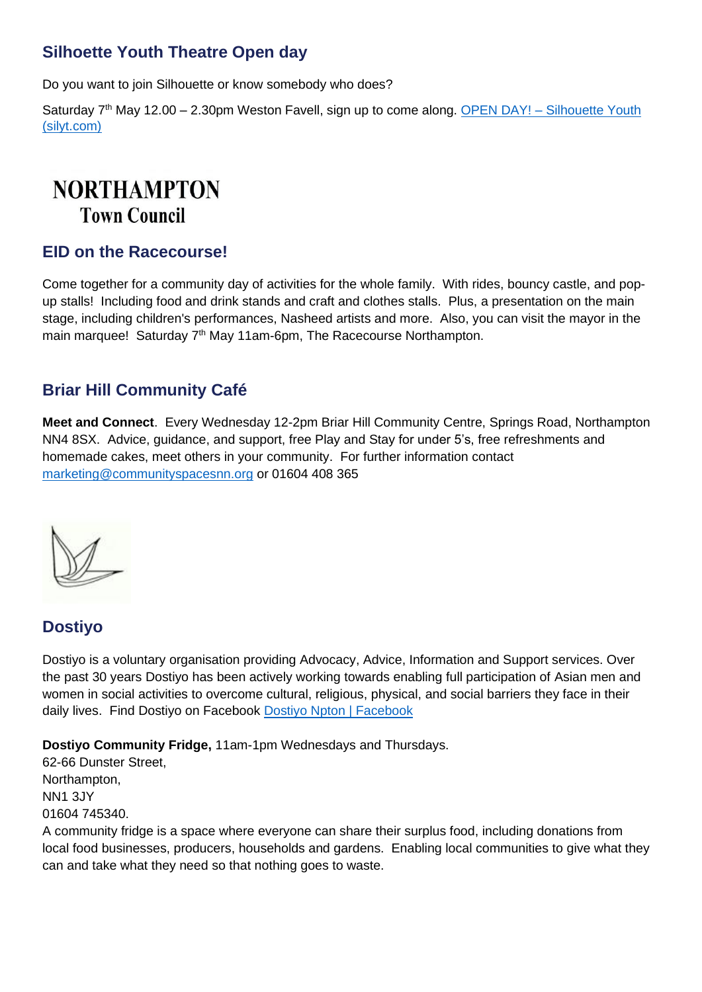#### <span id="page-10-0"></span>**Silhoette Youth Theatre Open day**

Do you want to join Silhouette or know somebody who does?

Saturday  $7<sup>th</sup>$  May 12.00 – 2.30pm Weston Favell, sign up to come along. OPEN DAY! – Silhouette Youth [\(silyt.com\)](https://silyt.com/open-day/?fbclid=IwAR29lOvWzmXQHSg0B0NdscMixV9cFkM7x0D6IRG3HDm2NSb4XpqqCaozVl8)

## **NORTHAMPTON Town Council**

#### <span id="page-10-1"></span>**EID on the Racecourse!**

Come together for a community day of activities for the whole family. With rides, bouncy castle, and popup stalls! Including food and drink stands and craft and clothes stalls. Plus, a presentation on the main stage, including children's performances, Nasheed artists and more. Also, you can visit the mayor in the main marquee! Saturday 7<sup>th</sup> May 11am-6pm, The Racecourse Northampton.

#### <span id="page-10-2"></span>**Briar Hill Community Café**

**Meet and Connect**. Every Wednesday 12-2pm Briar Hill Community Centre, Springs Road, Northampton NN4 8SX. Advice, guidance, and support, free Play and Stay for under 5's, free refreshments and homemade cakes, meet others in your community. For further information contact [marketing@communityspacesnn.org](mailto:marketing@communityspacesnn.org) or 01604 408 365



#### <span id="page-10-3"></span>**Dostiyo**

Dostiyo is a voluntary organisation providing Advocacy, Advice, Information and Support services. Over the past 30 years Dostiyo has been actively working towards enabling full participation of Asian men and women in social activities to overcome cultural, religious, physical, and social barriers they face in their daily lives. Find Dostiyo on Facebook [Dostiyo Npton | Facebook](https://www.facebook.com/dostiyo.northampton)

**Dostiyo Community Fridge,** 11am-1pm Wednesdays and Thursdays.

62-66 Dunster Street, Northampton, NN1 3JY 01604 745340.

A community fridge is a space where everyone can share their surplus food, including donations from local food businesses, producers, households and gardens. Enabling local communities to give what they can and take what they need so that nothing goes to waste.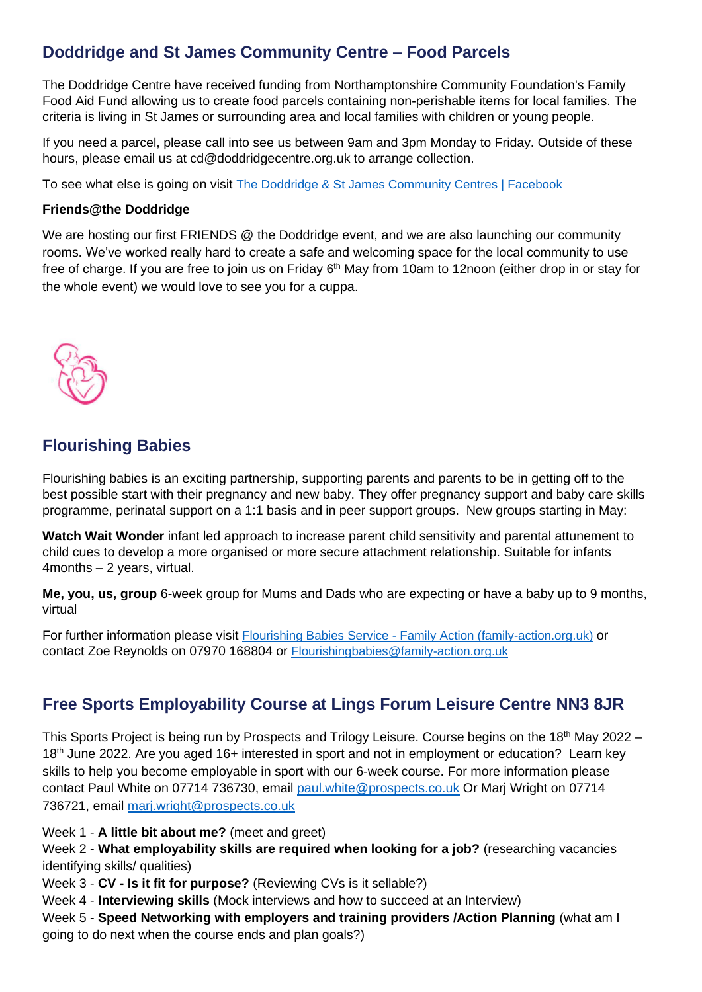### <span id="page-11-0"></span>**Doddridge and St James Community Centre – Food Parcels**

The Doddridge Centre have received funding from Northamptonshire Community Foundation's Family Food Aid Fund allowing us to create food parcels containing non-perishable items for local families. The criteria is living in St James or surrounding area and local families with children or young people.

If you need a parcel, please call into see us between 9am and 3pm Monday to Friday. Outside of these hours, please email us at cd@doddridgecentre.org.uk to arrange collection.

To see what else is going on visit [The Doddridge & St James Community Centres | Facebook](https://www.facebook.com/Doddridgeandstjames)

#### **Friends@the Doddridge**

We are hosting our first FRIENDS @ the Doddridge event, and we are also launching our community rooms. We've worked really hard to create a safe and welcoming space for the local community to use free of charge. If you are free to join us on Friday 6<sup>th</sup> May from 10am to 12noon (either drop in or stay for the whole event) we would love to see you for a cuppa.



#### <span id="page-11-1"></span>**Flourishing Babies**

Flourishing babies is an exciting partnership, supporting parents and parents to be in getting off to the best possible start with their pregnancy and new baby. They offer pregnancy support and baby care skills programme, perinatal support on a 1:1 basis and in peer support groups. New groups starting in May:

**Watch Wait Wonder** infant led approach to increase parent child sensitivity and parental attunement to child cues to develop a more organised or more secure attachment relationship. Suitable for infants 4months – 2 years, virtual.

**Me, you, us, group** 6-week group for Mums and Dads who are expecting or have a baby up to 9 months, virtual

For further information please visit Flourishing Babies Service - [Family Action \(family-action.org.uk\)](https://www.family-action.org.uk/what-we-do/children-families/flourishing-babies/) or contact Zoe Reynolds on 07970 168804 or [Flourishingbabies@family-action.org.uk](mailto:Flourishingbabies@family-action.org.uk)

### <span id="page-11-2"></span>**Free Sports Employability Course at Lings Forum Leisure Centre NN3 8JR**

This Sports Project is being run by Prospects and Trilogy Leisure. Course begins on the 18<sup>th</sup> May 2022 – 18<sup>th</sup> June 2022. Are you aged 16+ interested in sport and not in employment or education? Learn key skills to help you become employable in sport with our 6-week course. For more information please contact Paul White on 07714 736730, email [paul.white@prospects.co.uk](mailto:paul.white@prospects.co.uk) Or Marj Wright on 07714 736721, email [marj.wright@prospects.co.uk](mailto:marj.wright@prospects.co.uk)

Week 1 - **A little bit about me?** (meet and greet)

Week 2 - **What employability skills are required when looking for a job?** (researching vacancies identifying skills/ qualities)

Week 3 - **CV - Is it fit for purpose?** (Reviewing CVs is it sellable?)

Week 4 - **Interviewing skills** (Mock interviews and how to succeed at an Interview)

Week 5 - **Speed Networking with employers and training providers /Action Planning** (what am I going to do next when the course ends and plan goals?)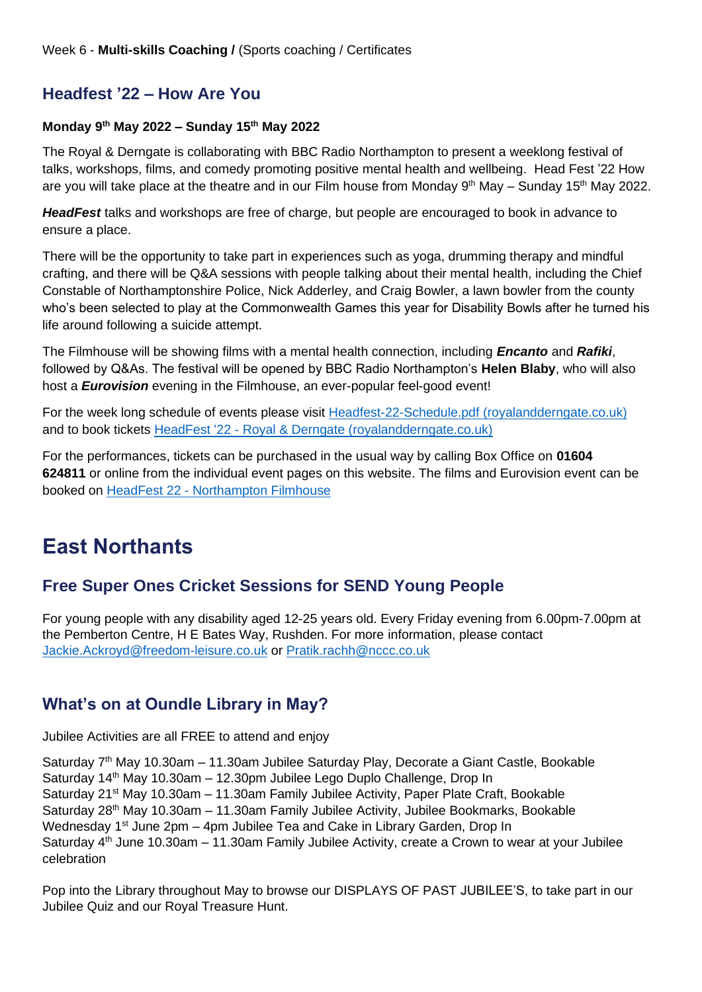### <span id="page-12-0"></span>**Headfest '22 – How Are You**

#### **Monday 9th May 2022 – Sunday 15th May 2022**

The Royal & Derngate is collaborating with BBC Radio Northampton to present a weeklong festival of talks, workshops, films, and comedy promoting positive mental health and wellbeing. Head Fest '22 How are you will take place at the theatre and in our Film house from Monday  $9<sup>th</sup>$  May – Sunday 15<sup>th</sup> May 2022.

*HeadFest* talks and workshops are free of charge, but people are encouraged to book in advance to ensure a place.

There will be the opportunity to take part in experiences such as yoga, drumming therapy and mindful crafting, and there will be Q&A sessions with people talking about their mental health, including the Chief Constable of Northamptonshire Police, Nick Adderley, and Craig Bowler, a lawn bowler from the county who's been selected to play at the Commonwealth Games this year for Disability Bowls after he turned his life around following a suicide attempt.

The Filmhouse will be showing films with a mental health connection, including *Encanto* and *Rafiki*, followed by Q&As. The festival will be opened by BBC Radio Northampton's **Helen Blaby**, who will also host a *Eurovision* evening in the Filmhouse, an ever-popular feel-good event!

For the week long schedule of events please visit [Headfest-22-Schedule.pdf \(royalandderngate.co.uk\)](https://www.royalandderngate.co.uk/wp-content/uploads/2022/04/Headfest-22-Schedule.pdf) and to book tickets HeadFest '22 - [Royal & Derngate \(royalandderngate.co.uk\)](https://www.royalandderngate.co.uk/whats-on/headfest-2022/)

For the performances, tickets can be purchased in the usual way by calling Box Office on **01604 624811** or online from the individual event pages on this website. The films and Eurovision event can be booked on HeadFest 22 - [Northampton Filmhouse](https://www.northamptonfilmhouse.com/film-categories/headfest-22/)

## <span id="page-12-1"></span>**East Northants**

#### <span id="page-12-2"></span>**Free Super Ones Cricket Sessions for SEND Young People**

For young people with any disability aged 12-25 years old. Every Friday evening from 6.00pm-7.00pm at the Pemberton Centre, H E Bates Way, Rushden. For more information, please contact [Jackie.Ackroyd@freedom-leisure.co.uk](mailto:Jackie.Ackroyd@freedom-leisure.co.uk) or [Pratik.rachh@nccc.co.uk](mailto:Pratik.rachh@nccc.co.uk)

#### <span id="page-12-3"></span>**What's on at Oundle Library in May?**

Jubilee Activities are all FREE to attend and enjoy

Saturday 7th May 10.30am – 11.30am Jubilee Saturday Play, Decorate a Giant Castle, Bookable Saturday 14<sup>th</sup> May 10.30am - 12.30pm Jubilee Lego Duplo Challenge, Drop In Saturday 21<sup>st</sup> May 10.30am – 11.30am Family Jubilee Activity, Paper Plate Craft, Bookable Saturday 28th May 10.30am – 11.30am Family Jubilee Activity, Jubilee Bookmarks, Bookable Wednesday 1<sup>st</sup> June 2pm – 4pm Jubilee Tea and Cake in Library Garden, Drop In Saturday  $4<sup>th</sup>$  June 10.30am – 11.30am Family Jubilee Activity, create a Crown to wear at your Jubilee celebration

Pop into the Library throughout May to browse our DISPLAYS OF PAST JUBILEE'S, to take part in our Jubilee Quiz and our Royal Treasure Hunt.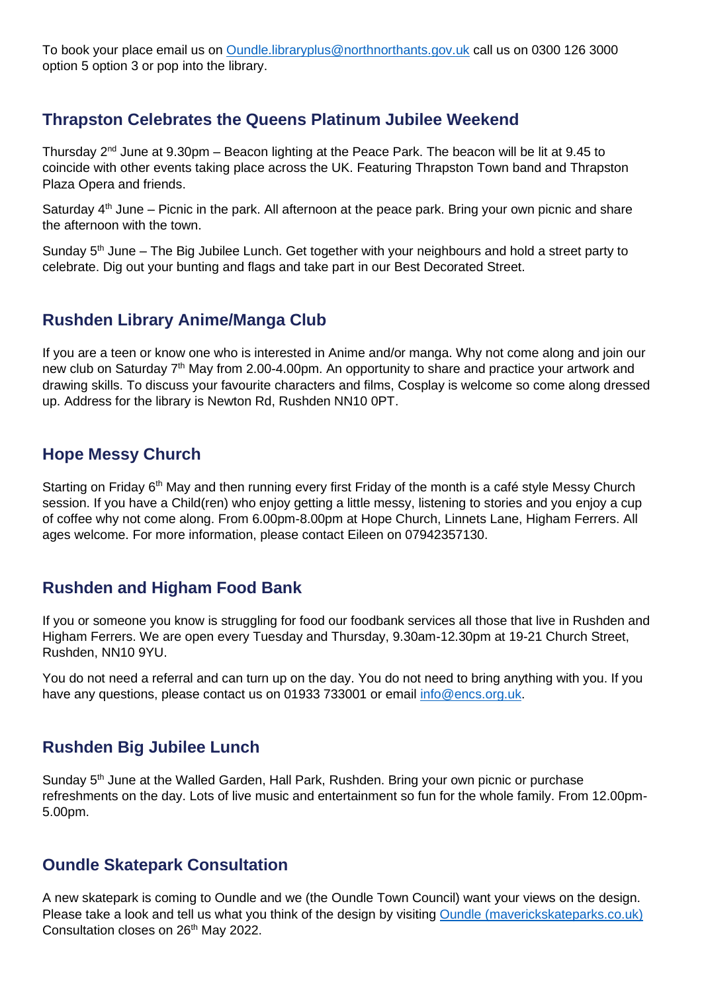To book your place email us on [Oundle.libraryplus@northnorthants.gov.uk](mailto:Oundle.libraryplus@northnorthants.gov.uk) call us on 0300 126 3000 option 5 option 3 or pop into the library.

#### <span id="page-13-0"></span>**Thrapston Celebrates the Queens Platinum Jubilee Weekend**

Thursday  $2<sup>nd</sup>$  June at 9.30pm – Beacon lighting at the Peace Park. The beacon will be lit at 9.45 to coincide with other events taking place across the UK. Featuring Thrapston Town band and Thrapston Plaza Opera and friends.

Saturday  $4<sup>th</sup>$  June – Picnic in the park. All afternoon at the peace park. Bring your own picnic and share the afternoon with the town.

Sunday  $5<sup>th</sup>$  June – The Big Jubilee Lunch. Get together with your neighbours and hold a street party to celebrate. Dig out your bunting and flags and take part in our Best Decorated Street.

#### <span id="page-13-1"></span>**Rushden Library Anime/Manga Club**

If you are a teen or know one who is interested in Anime and/or manga. Why not come along and join our new club on Saturday 7<sup>th</sup> May from 2.00-4.00pm. An opportunity to share and practice your artwork and drawing skills. To discuss your favourite characters and films, Cosplay is welcome so come along dressed up. Address for the library is Newton Rd, Rushden NN10 0PT.

#### <span id="page-13-2"></span>**Hope Messy Church**

Starting on Friday  $6<sup>th</sup>$  May and then running every first Friday of the month is a café style Messy Church session. If you have a Child(ren) who enjoy getting a little messy, listening to stories and you enjoy a cup of coffee why not come along. From 6.00pm-8.00pm at Hope Church, Linnets Lane, Higham Ferrers. All ages welcome. For more information, please contact Eileen on 07942357130.

#### <span id="page-13-3"></span>**Rushden and Higham Food Bank**

If you or someone you know is struggling for food our foodbank services all those that live in Rushden and Higham Ferrers. We are open every Tuesday and Thursday, 9.30am-12.30pm at 19-21 Church Street, Rushden, NN10 9YU.

You do not need a referral and can turn up on the day. You do not need to bring anything with you. If you have any questions, please contact us on 01933 733001 or email [info@encs.org.uk.](mailto:info@encs.org.uk)

#### <span id="page-13-4"></span>**Rushden Big Jubilee Lunch**

Sunday 5<sup>th</sup> June at the Walled Garden, Hall Park, Rushden, Bring your own picnic or purchase refreshments on the day. Lots of live music and entertainment so fun for the whole family. From 12.00pm-5.00pm.

#### <span id="page-13-5"></span>**Oundle Skatepark Consultation**

A new skatepark is coming to Oundle and we (the Oundle Town Council) want your views on the design. Please take a look and tell us what you think of the design by visiting [Oundle \(maverickskateparks.co.uk\)](https://www.maverickskateparks.co.uk/oundle?fbclid=IwAR3oOiHMFxuMQg2gl0b7pu1bjTvEajz9UXdw82lDHb3dtVdn3L2lnQeqpVw) Consultation closes on 26<sup>th</sup> May 2022.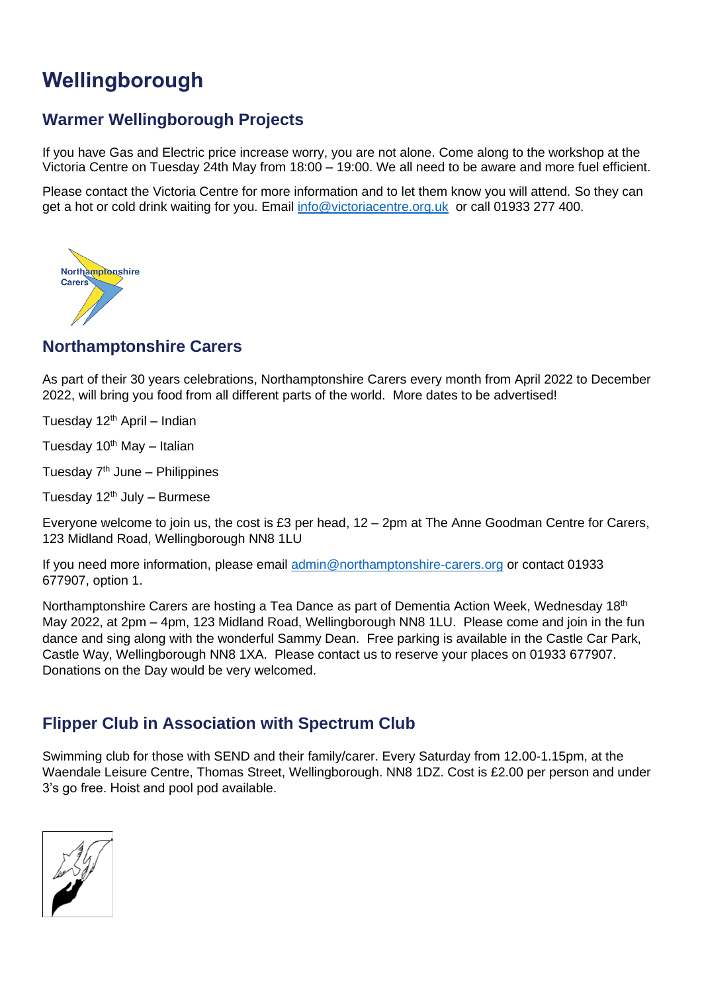# <span id="page-14-0"></span>**Wellingborough**

#### <span id="page-14-1"></span>**Warmer Wellingborough Projects**

If you have Gas and Electric price increase worry, you are not alone. Come along to the workshop at the Victoria Centre on Tuesday 24th May from 18:00 – 19:00. We all need to be aware and more fuel efficient.

Please contact the Victoria Centre for more information and to let them know you will attend. So they can get a hot or cold drink waiting for you. Email [info@victoriacentre.org.uk](mailto:info@victoriacentre.org.uk) or call 01933 277 400.



#### <span id="page-14-2"></span>**Northamptonshire Carers**

As part of their 30 years celebrations, Northamptonshire Carers every month from April 2022 to December 2022, will bring you food from all different parts of the world. More dates to be advertised!

Tuesday  $12<sup>th</sup>$  April – Indian

Tuesday  $10^{th}$  May - Italian

Tuesday  $7<sup>th</sup>$  June – Philippines

Tuesday  $12<sup>th</sup>$  July – Burmese

Everyone welcome to join us, the cost is £3 per head, 12 – 2pm at The Anne Goodman Centre for Carers, 123 Midland Road, Wellingborough NN8 1LU

If you need more information, please email [admin@northamptonshire-carers.org](mailto:admin@northamptonshire-carers.org) or contact 01933 677907, option 1.

Northamptonshire Carers are hosting a Tea Dance as part of Dementia Action Week, Wednesday 18<sup>th</sup> May 2022, at 2pm – 4pm, 123 Midland Road, Wellingborough NN8 1LU. Please come and join in the fun dance and sing along with the wonderful Sammy Dean. Free parking is available in the Castle Car Park, Castle Way, Wellingborough NN8 1XA. Please contact us to reserve your places on 01933 677907. Donations on the Day would be very welcomed.

#### <span id="page-14-3"></span>**Flipper Club in Association with Spectrum Club**

Swimming club for those with SEND and their family/carer. Every Saturday from 12.00-1.15pm, at the Waendale Leisure Centre, Thomas Street, Wellingborough. NN8 1DZ. Cost is £2.00 per person and under 3's go free. Hoist and pool pod available.

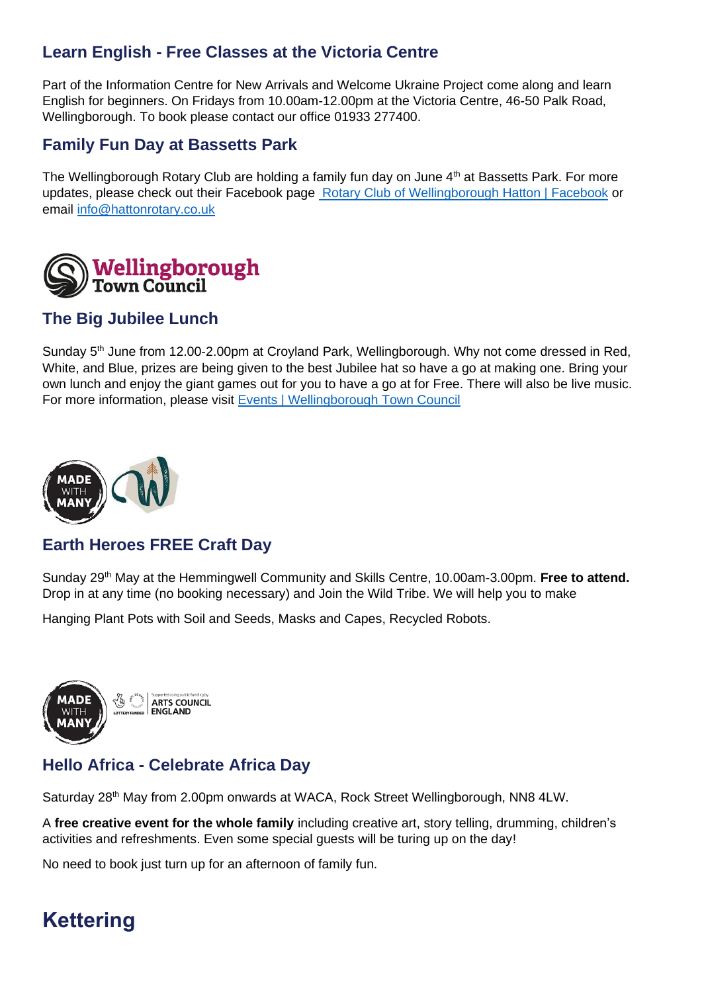### <span id="page-15-0"></span>**Learn English - Free Classes at the Victoria Centre**

Part of the Information Centre for New Arrivals and Welcome Ukraine Project come along and learn English for beginners. On Fridays from 10.00am-12.00pm at the Victoria Centre, 46-50 Palk Road, Wellingborough. To book please contact our office 01933 277400.

#### <span id="page-15-1"></span>**Family Fun Day at Bassetts Park**

The Wellingborough Rotary Club are holding a family fun day on June 4<sup>th</sup> at Bassetts Park. For more updates, please check out their Facebook page [Rotary Club of Wellingborough Hatton | Facebook](https://www.facebook.com/HattonRotary/) or email [info@hattonrotary.co.uk](mailto:info@hattonrotary.co.uk)



#### <span id="page-15-2"></span>**The Big Jubilee Lunch**

Sunday 5th June from 12.00-2.00pm at Croyland Park, Wellingborough. Why not come dressed in Red, White, and Blue, prizes are being given to the best Jubilee hat so have a go at making one. Bring your own lunch and enjoy the giant games out for you to have a go at for Free. There will also be live music. For more information, please visit [Events | Wellingborough Town Council](https://www.wellingboroughtowncouncil.gov.uk/council_events/)



#### <span id="page-15-3"></span>**Earth Heroes FREE Craft Day**

Sunday 29th May at the Hemmingwell Community and Skills Centre, 10.00am-3.00pm. **Free to attend.** Drop in at any time (no booking necessary) and Join the Wild Tribe. We will help you to make

Hanging Plant Pots with Soil and Seeds, Masks and Capes, Recycled Robots.



### <span id="page-15-4"></span>**Hello Africa - Celebrate Africa Day**

Saturday 28<sup>th</sup> May from 2.00pm onwards at WACA, Rock Street Wellingborough, NN8 4LW.

A **free creative event for the whole family** including creative art, story telling, drumming, children's activities and refreshments. Even some special guests will be turing up on the day!

No need to book just turn up for an afternoon of family fun.

## <span id="page-15-5"></span>**Kettering**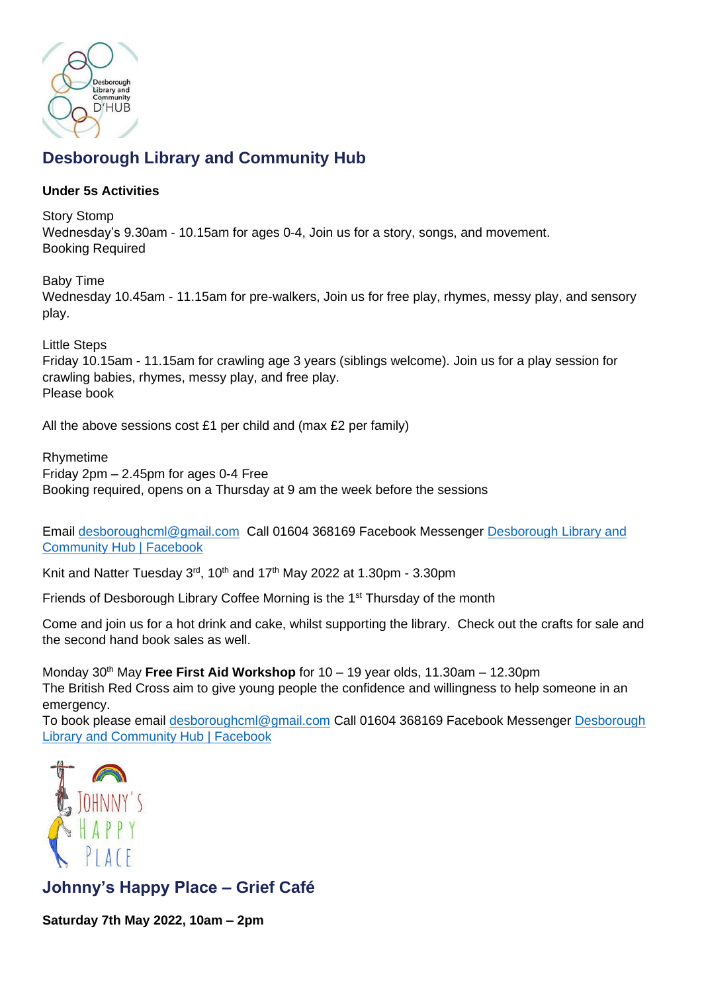

## <span id="page-16-0"></span>**Desborough Library and Community Hub**

#### **Under 5s Activities**

Story Stomp Wednesday's 9.30am - 10.15am for ages 0-4, Join us for a story, songs, and movement. Booking Required

Baby Time Wednesday 10.45am - 11.15am for pre-walkers, Join us for free play, rhymes, messy play, and sensory play.

Little Steps Friday 10.15am - 11.15am for crawling age 3 years (siblings welcome). Join us for a play session for crawling babies, rhymes, messy play, and free play. Please book

All the above sessions cost £1 per child and (max  $£2$  per family)

Rhymetime Friday 2pm – 2.45pm for ages 0-4 Free Booking required, opens on a Thursday at 9 am the week before the sessions

Email [desboroughcml@gmail.com](mailto:desboroughcml@gmail.com) Call 01604 368169 Facebook Messenger [Desborough Library and](https://www.facebook.com/DesboroughHub/)  [Community Hub | Facebook](https://www.facebook.com/DesboroughHub/)

Knit and Natter Tuesday 3<sup>rd</sup>, 10<sup>th</sup> and 17<sup>th</sup> May 2022 at 1.30pm - 3.30pm

Friends of Desborough Library Coffee Morning is the 1st Thursday of the month

Come and join us for a hot drink and cake, whilst supporting the library. Check out the crafts for sale and the second hand book sales as well.

Monday 30<sup>th</sup> May Free First Aid Workshop for 10 – 19 year olds, 11.30am – 12.30pm The British Red Cross aim to give young people the confidence and willingness to help someone in an emergency.

To book please email [desboroughcml@gmail.com](mailto:desboroughcml@gmail.com) Call 01604 368169 Facebook Messenger [Desborough](https://www.facebook.com/DesboroughHub/)  [Library and Community Hub | Facebook](https://www.facebook.com/DesboroughHub/)



<span id="page-16-1"></span>**Johnny's Happy Place – Grief Café** 

**Saturday 7th May 2022, 10am – 2pm**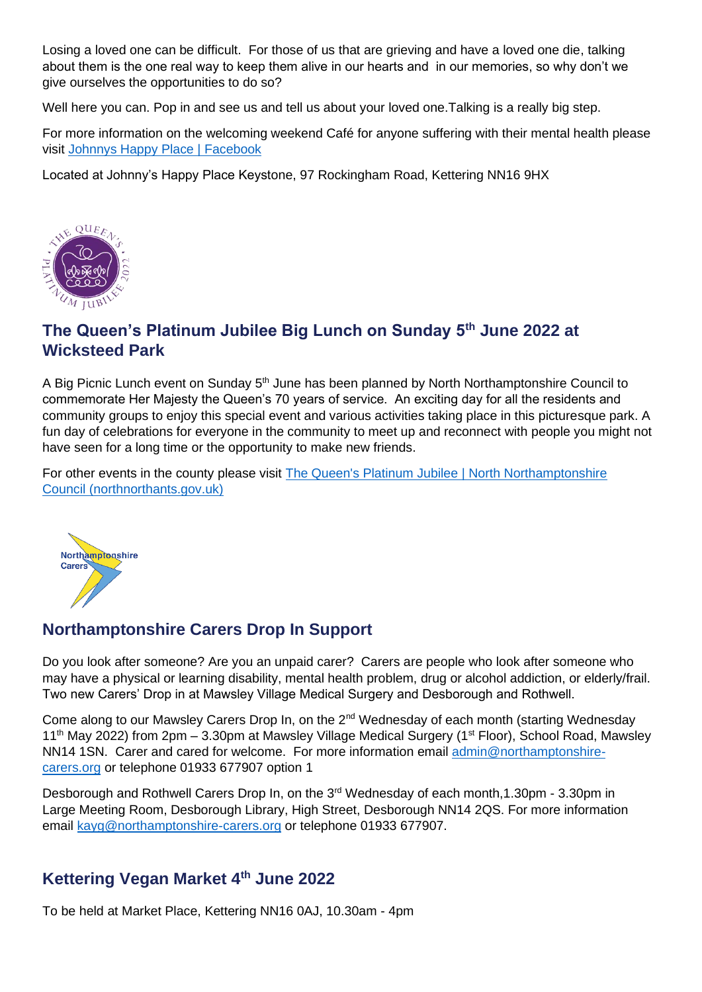Losing a loved one can be difficult. For those of us that are grieving and have a loved one die, talking about them is the one real way to keep them alive in our hearts and in our memories, so why don't we give ourselves the opportunities to do so?

Well here you can. Pop in and see us and tell us about your loved one. Talking is a really big step.

For more information on the welcoming weekend Café for anyone suffering with their mental health please visit [Johnnys Happy Place | Facebook](https://www.facebook.com/johnnyshappyplace/?ref=page_internal)

Located at Johnny's Happy Place Keystone, 97 Rockingham Road, Kettering NN16 9HX



### <span id="page-17-0"></span>**The Queen's Platinum Jubilee Big Lunch on Sunday 5th June 2022 at Wicksteed Park**

A Big Picnic Lunch event on Sunday 5<sup>th</sup> June has been planned by North Northamptonshire Council to commemorate Her Majesty the Queen's 70 years of service. An exciting day for all the residents and community groups to enjoy this special event and various activities taking place in this picturesque park. A fun day of celebrations for everyone in the community to meet up and reconnect with people you might not have seen for a long time or the opportunity to make new friends.

For other events in the county please visit [The Queen's Platinum Jubilee | North Northamptonshire](https://www.northnorthants.gov.uk/platinum-jubilee/queens-platinum-jubilee)  [Council \(northnorthants.gov.uk\)](https://www.northnorthants.gov.uk/platinum-jubilee/queens-platinum-jubilee)



#### <span id="page-17-1"></span>**Northamptonshire Carers Drop In Support**

Do you look after someone? Are you an unpaid carer? Carers are people who look after someone who may have a physical or learning disability, mental health problem, drug or alcohol addiction, or elderly/frail. Two new Carers' Drop in at Mawsley Village Medical Surgery and Desborough and Rothwell.

Come along to our Mawsley Carers Drop In, on the 2<sup>nd</sup> Wednesday of each month (starting Wednesday  $11<sup>th</sup>$  May 2022) from 2pm – 3.30pm at Mawsley Village Medical Surgery ( $1<sup>st</sup>$  Floor), School Road, Mawsley NN14 1SN. Carer and cared for welcome. For more information email [admin@northamptonshire](mailto:admin@northamptonshire-carers.org)[carers.org](mailto:admin@northamptonshire-carers.org) or telephone 01933 677907 option 1

Desborough and Rothwell Carers Drop In, on the 3<sup>rd</sup> Wednesday of each month, 1.30pm - 3.30pm in Large Meeting Room, Desborough Library, High Street, Desborough NN14 2QS. For more information email [kayg@northamptonshire-carers.org](mailto:kayg@northamptonshire-carers.org) or telephone 01933 677907.

#### <span id="page-17-2"></span>**Kettering Vegan Market 4th June 2022**

To be held at Market Place, Kettering NN16 0AJ, 10.30am - 4pm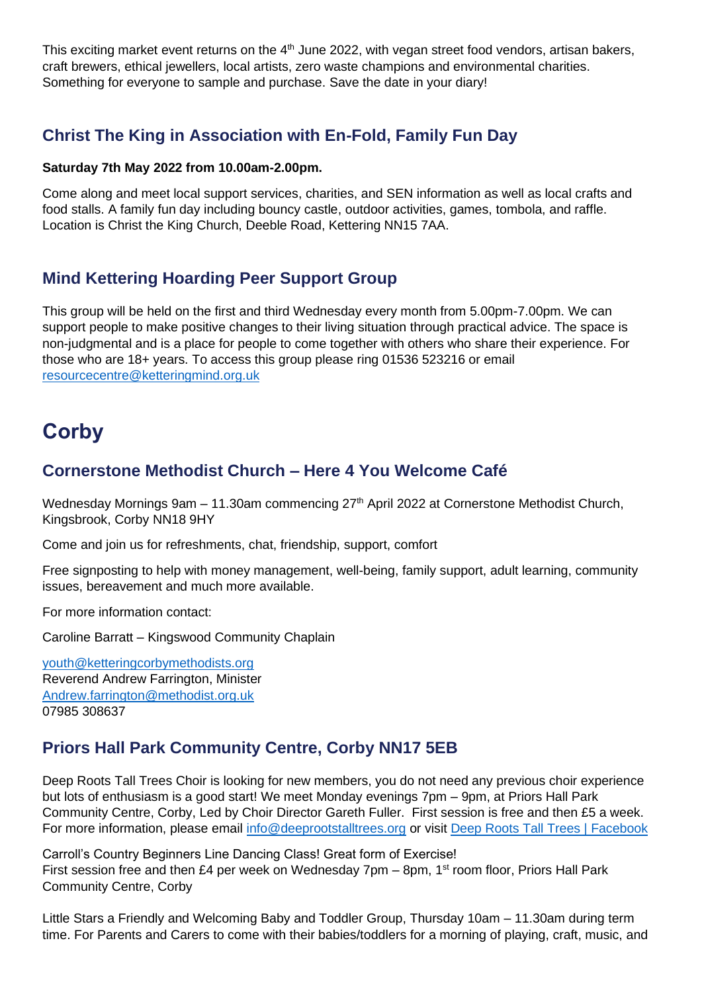This exciting market event returns on the  $4<sup>th</sup>$  June 2022, with vegan street food vendors, artisan bakers, craft brewers, ethical jewellers, local artists, zero waste champions and environmental charities. Something for everyone to sample and purchase. Save the date in your diary!

#### <span id="page-18-0"></span>**Christ The King in Association with En-Fold, Family Fun Day**

#### **Saturday 7th May 2022 from 10.00am-2.00pm.**

Come along and meet local support services, charities, and SEN information as well as local crafts and food stalls. A family fun day including bouncy castle, outdoor activities, games, tombola, and raffle. Location is Christ the King Church, Deeble Road, Kettering NN15 7AA.

#### <span id="page-18-1"></span>**Mind Kettering Hoarding Peer Support Group**

This group will be held on the first and third Wednesday every month from 5.00pm-7.00pm. We can support people to make positive changes to their living situation through practical advice. The space is non-judgmental and is a place for people to come together with others who share their experience. For those who are 18+ years. To access this group please ring 01536 523216 or email [resourcecentre@ketteringmind.org.uk](mailto:resourcecentre@ketteringmind.org.uk)

## <span id="page-18-2"></span>**Corby**

#### <span id="page-18-3"></span>**Cornerstone Methodist Church – Here 4 You Welcome Café**

Wednesday Mornings 9am - 11.30am commencing 27<sup>th</sup> April 2022 at Cornerstone Methodist Church, Kingsbrook, Corby NN18 9HY

Come and join us for refreshments, chat, friendship, support, comfort

Free signposting to help with money management, well-being, family support, adult learning, community issues, bereavement and much more available.

For more information contact:

Caroline Barratt – Kingswood Community Chaplain

[youth@ketteringcorbymethodists.org](mailto:youth@ketteringcorbymethodists.org) Reverend Andrew Farrington, Minister [Andrew.farrington@methodist.org.uk](mailto:Andrew.farrington@methodist.org.uk) 07985 308637

### <span id="page-18-4"></span>**Priors Hall Park Community Centre, Corby NN17 5EB**

Deep Roots Tall Trees Choir is looking for new members, you do not need any previous choir experience but lots of enthusiasm is a good start! We meet Monday evenings 7pm – 9pm, at Priors Hall Park Community Centre, Corby, Led by Choir Director Gareth Fuller. First session is free and then £5 a week. For more information, please email [info@deeprootstalltrees.org](mailto:info@deeprootstalltrees.org) or visit [Deep Roots Tall Trees | Facebook](https://www.facebook.com/drttchoir/)

Carroll's Country Beginners Line Dancing Class! Great form of Exercise! First session free and then £4 per week on Wednesday 7pm – 8pm, 1<sup>st</sup> room floor, Priors Hall Park Community Centre, Corby

Little Stars a Friendly and Welcoming Baby and Toddler Group, Thursday 10am – 11.30am during term time. For Parents and Carers to come with their babies/toddlers for a morning of playing, craft, music, and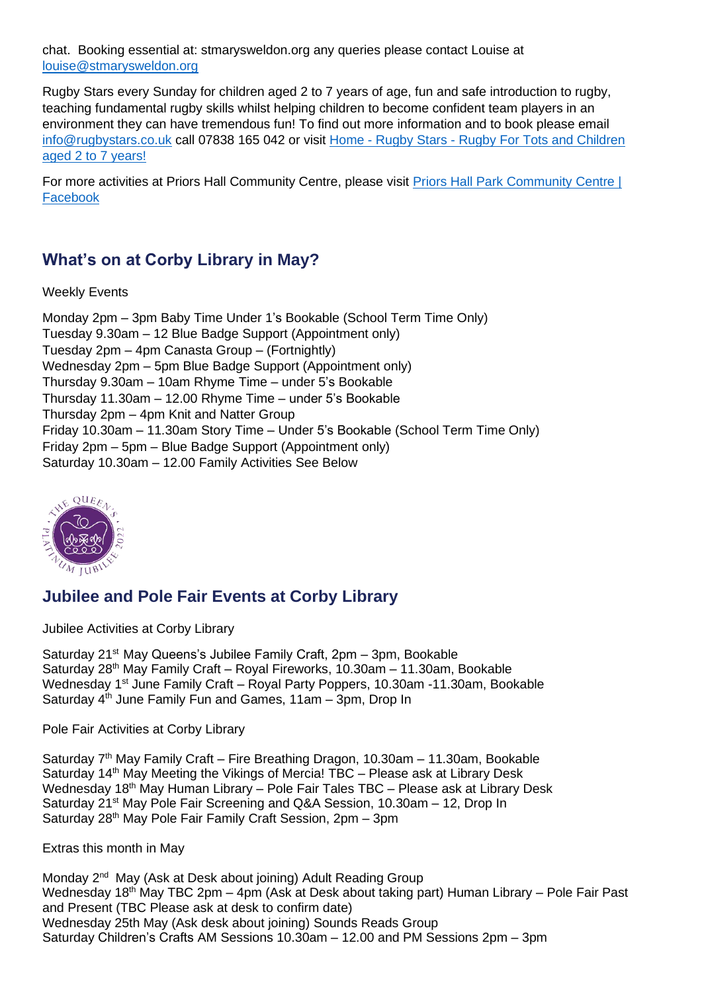chat. Booking essential at: stmarysweldon.org any queries please contact Louise at [louise@stmarysweldon.org](mailto:louise@stmarysweldon.org)

Rugby Stars every Sunday for children aged 2 to 7 years of age, fun and safe introduction to rugby, teaching fundamental rugby skills whilst helping children to become confident team players in an environment they can have tremendous fun! To find out more information and to book please email [info@rugbystars.co.uk](mailto:info@rugbystars.co.uk) call 07838 165 042 or visit Home - Rugby Stars - [Rugby For Tots and Children](https://www.rugbystars.co.uk/)  [aged 2 to 7 years!](https://www.rugbystars.co.uk/)

For more activities at Priors Hall Community Centre, please visit [Priors Hall Park Community Centre |](https://www.facebook.com/PHPCommunityCentre/)  [Facebook](https://www.facebook.com/PHPCommunityCentre/)

#### <span id="page-19-0"></span>**What's on at Corby Library in May?**

Weekly Events

Monday 2pm – 3pm Baby Time Under 1's Bookable (School Term Time Only) Tuesday 9.30am – 12 Blue Badge Support (Appointment only) Tuesday 2pm – 4pm Canasta Group – (Fortnightly) Wednesday 2pm – 5pm Blue Badge Support (Appointment only) Thursday 9.30am – 10am Rhyme Time – under 5's Bookable Thursday 11.30am – 12.00 Rhyme Time – under 5's Bookable Thursday 2pm – 4pm Knit and Natter Group Friday 10.30am – 11.30am Story Time – Under 5's Bookable (School Term Time Only) Friday 2pm – 5pm – Blue Badge Support (Appointment only) Saturday 10.30am – 12.00 Family Activities See Below



### <span id="page-19-1"></span>**Jubilee and Pole Fair Events at Corby Library**

Jubilee Activities at Corby Library

Saturday 21<sup>st</sup> May Queens's Jubilee Family Craft, 2pm - 3pm. Bookable Saturday 28<sup>th</sup> May Family Craft – Royal Fireworks, 10.30am – 11.30am, Bookable Wednesday 1st June Family Craft – Royal Party Poppers, 10.30am -11.30am, Bookable Saturday 4<sup>th</sup> June Family Fun and Games, 11am - 3pm, Drop In

Pole Fair Activities at Corby Library

Saturday  $7<sup>th</sup>$  May Family Craft – Fire Breathing Dragon, 10.30am – 11.30am, Bookable Saturday 14<sup>th</sup> May Meeting the Vikings of Mercia! TBC – Please ask at Library Desk Wednesday 18th May Human Library – Pole Fair Tales TBC – Please ask at Library Desk Saturday 21<sup>st</sup> May Pole Fair Screening and Q&A Session, 10.30am – 12, Drop In Saturday 28<sup>th</sup> May Pole Fair Family Craft Session, 2pm - 3pm

Extras this month in May

Monday 2<sup>nd</sup> May (Ask at Desk about joining) Adult Reading Group Wednesday 18<sup>th</sup> May TBC 2pm – 4pm (Ask at Desk about taking part) Human Library – Pole Fair Past and Present (TBC Please ask at desk to confirm date) Wednesday 25th May (Ask desk about joining) Sounds Reads Group Saturday Children's Crafts AM Sessions 10.30am – 12.00 and PM Sessions 2pm – 3pm